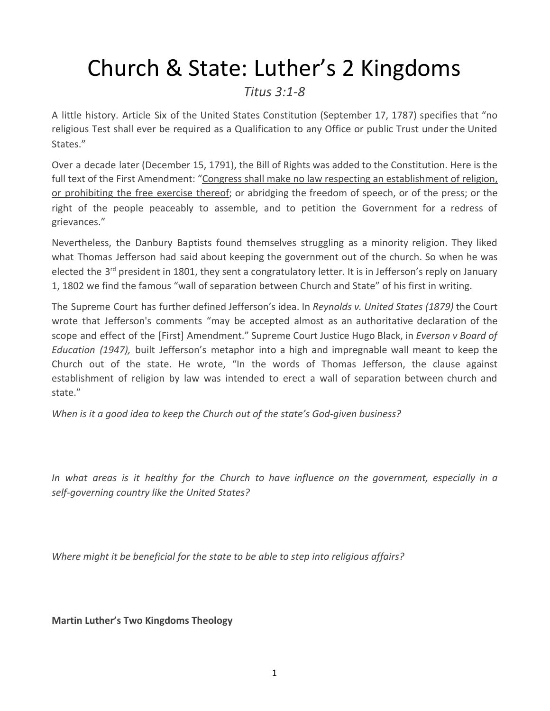## Church & State: Luther's 2 Kingdoms

## *Titus 3:1-8*

A little history. Article Six of the United States Constitution (September 17, 1787) specifies that "no religious Test shall ever be required as a Qualification to any Office or public Trust under the United States."

Over a decade later (December 15, 1791), the Bill of Rights was added to the Constitution. Here is the full text of the First Amendment: "Congress shall make no law respecting an establishment of religion, or prohibiting the free exercise thereof; or abridging the freedom of speech, or of the press; or the right of the people peaceably to assemble, and to petition the Government for a redress of grievances."

Nevertheless, the Danbury Baptists found themselves struggling as a minority religion. They liked what Thomas Jefferson had said about keeping the government out of the church. So when he was elected the 3<sup>rd</sup> president in 1801, they sent a congratulatory letter. It is in Jefferson's reply on January 1, 1802 we find the famous "wall of separation between Church and State" of his first in writing.

The Supreme Court has further defined Jefferson's idea. In *Reynolds v. United States (1879)* the Court wrote that Jefferson's comments "may be accepted almost as an authoritative declaration of the scope and effect of the [First] Amendment." Supreme Court Justice Hugo Black, in *Everson v Board of Education (1947),* built Jefferson's metaphor into a high and impregnable wall meant to keep the Church out of the state. He wrote, "In the words of Thomas Jefferson, the clause against establishment of religion by law was intended to erect a wall of separation between church and state."

*When is it a good idea to keep the Church out of the state's God-given business?*

*In what areas is it healthy for the Church to have influence on the government, especially in a self-governing country like the United States?*

*Where might it be beneficial for the state to be able to step into religious affairs?*

**Martin Luther's Two Kingdoms Theology**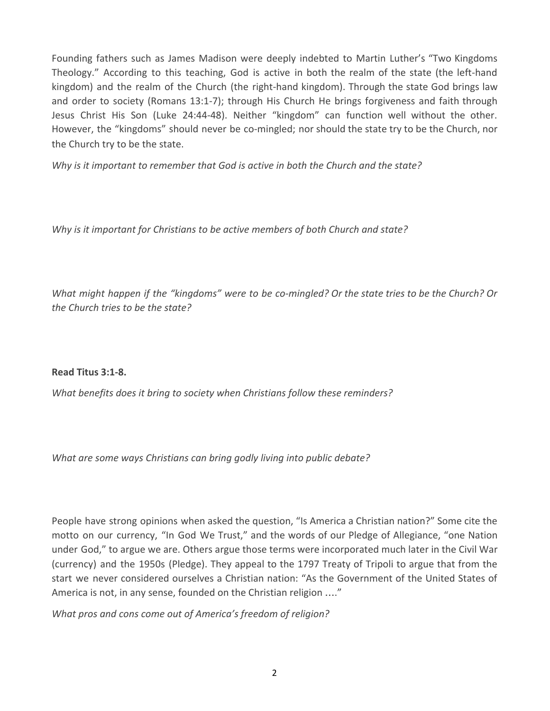Founding fathers such as James Madison were deeply indebted to Martin Luther's "Two Kingdoms Theology." According to this teaching, God is active in both the realm of the state (the left-hand kingdom) and the realm of the Church (the right-hand kingdom). Through the state God brings law and order to society (Romans 13:1-7); through His Church He brings forgiveness and faith through Jesus Christ His Son (Luke 24:44-48). Neither "kingdom" can function well without the other. However, the "kingdoms" should never be co-mingled; nor should the state try to be the Church, nor the Church try to be the state.

*Why is it important to remember that God is active in both the Church and the state?*

*Why is it important for Christians to be active members of both Church and state?*

What might happen if the "kingdoms" were to be co-mingled? Or the state tries to be the Church? Or *the Church tries to be the state?*

**Read Titus 3:1-8.**

*What benefits does it bring to society when Christians follow these reminders?*

*What are some ways Christians can bring godly living into public debate?*

People have strong opinions when asked the question, "Is America a Christian nation?" Some cite the motto on our currency, "In God We Trust," and the words of our Pledge of Allegiance, "one Nation under God," to argue we are. Others argue those terms were incorporated much later in the Civil War (currency) and the 1950s (Pledge). They appeal to the 1797 Treaty of Tripoli to argue that from the start we never considered ourselves a Christian nation: "As the Government of the United States of America is not, in any sense, founded on the Christian religion …."

*What pros and cons come out of America's freedom of religion?*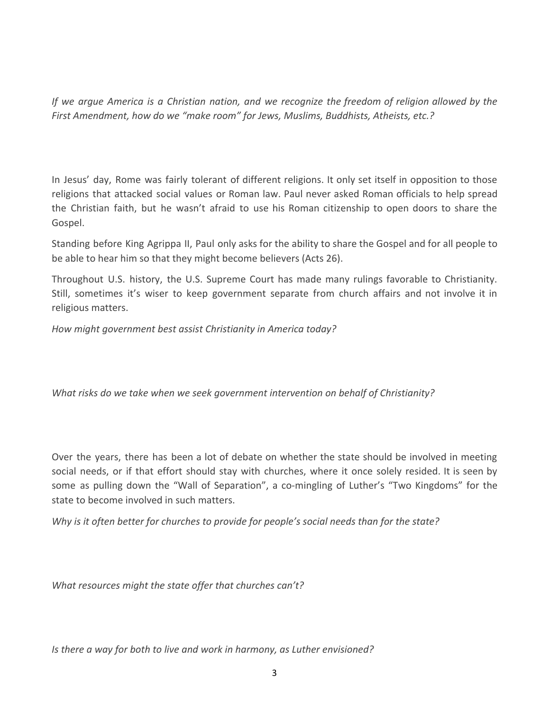*If we argue America is a Christian nation, and we recognize the freedom of religion allowed by the First Amendment, how do we "make room" for Jews, Muslims, Buddhists, Atheists, etc.?*

In Jesus' day, Rome was fairly tolerant of different religions. It only set itself in opposition to those religions that attacked social values or Roman law. Paul never asked Roman officials to help spread the Christian faith, but he wasn't afraid to use his Roman citizenship to open doors to share the Gospel.

Standing before King Agrippa II, Paul only asks for the ability to share the Gospel and for all people to be able to hear him so that they might become believers (Acts 26).

Throughout U.S. history, the U.S. Supreme Court has made many rulings favorable to Christianity. Still, sometimes it's wiser to keep government separate from church affairs and not involve it in religious matters.

*How might government best assist Christianity in America today?*

*What risks do we take when we seek government intervention on behalf of Christianity?*

Over the years, there has been a lot of debate on whether the state should be involved in meeting social needs, or if that effort should stay with churches, where it once solely resided. It is seen by some as pulling down the "Wall of Separation", a co-mingling of Luther's "Two Kingdoms" for the state to become involved in such matters.

*Why is it often better for churches to provide for people's social needs than for the state?*

*What resources might the state offer that churches can't?*

*Is there a way for both to live and work in harmony, as Luther envisioned?*